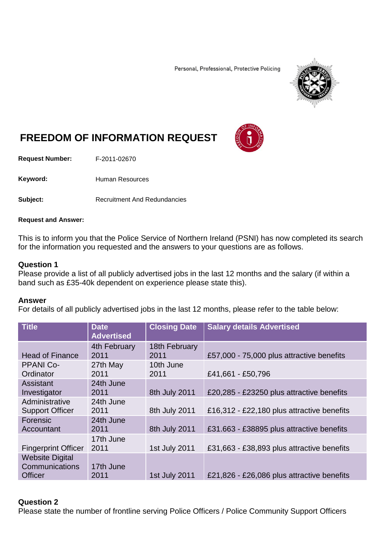Personal, Professional, Protective Policing



# **FREEDOM OF INFORMATION REQUEST**

**Request Number:** F-2011-02670

Keyword: Human Resources

**Subject:** Recruitment And Redundancies

#### **Request and Answer:**

This is to inform you that the Police Service of Northern Ireland (PSNI) has now completed its search for the information you requested and the answers to your questions are as follows.

## **Question 1**

Please provide a list of all publicly advertised jobs in the last 12 months and the salary (if within a band such as £35-40k dependent on experience please state this).

#### **Answer**

For details of all publicly advertised jobs in the last 12 months, please refer to the table below:

| <b>Title</b>                                               | <b>Date</b><br><b>Advertised</b> | <b>Closing Date</b>   | <b>Salary details Advertised</b>           |
|------------------------------------------------------------|----------------------------------|-----------------------|--------------------------------------------|
| <b>Head of Finance</b>                                     | 4th February<br>2011             | 18th February<br>2011 | £57,000 - 75,000 plus attractive benefits  |
| <b>PPANI Co-</b><br>Ordinator                              | 27th May<br>2011                 | 10th June<br>2011     | £41,661 - £50,796                          |
| <b>Assistant</b><br>Investigator                           | 24th June<br>2011                | 8th July 2011         | £20,285 - £23250 plus attractive benefits  |
| Administrative<br><b>Support Officer</b>                   | 24th June<br>2011                | 8th July 2011         | £16,312 - £22,180 plus attractive benefits |
| Forensic<br>Accountant                                     | 24th June<br>2011                | 8th July 2011         | £31.663 - £38895 plus attractive benefits  |
| <b>Fingerprint Officer</b>                                 | 17th June<br>2011                | 1st July 2011         | £31,663 - £38,893 plus attractive benefits |
| <b>Website Digital</b><br>Communications<br><b>Officer</b> | 17th June<br>2011                | 1st July 2011         | £21,826 - £26,086 plus attractive benefits |

# **Question 2**

Please state the number of frontline serving Police Officers / Police Community Support Officers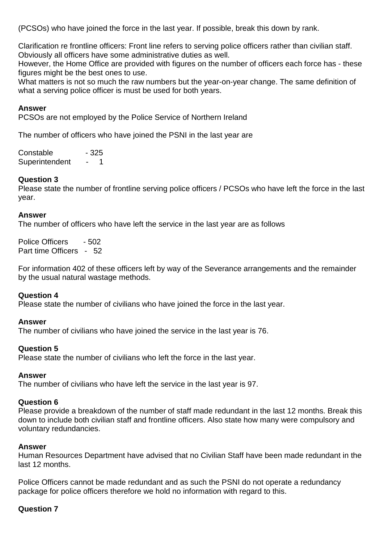(PCSOs) who have joined the force in the last year. If possible, break this down by rank.

Clarification re frontline officers: Front line refers to serving police officers rather than civilian staff. Obviously all officers have some administrative duties as well.

However, the Home Office are provided with figures on the number of officers each force has - these figures might be the best ones to use.

What matters is not so much the raw numbers but the year-on-year change. The same definition of what a serving police officer is must be used for both years.

# **Answer**

PCSOs are not employed by the Police Service of Northern Ireland

The number of officers who have joined the PSNI in the last year are

Constable - 325 Superintendent - 1

# **Question 3**

Please state the number of frontline serving police officers / PCSOs who have left the force in the last year.

#### **Answer**

The number of officers who have left the service in the last year are as follows

Police Officers - 502 Part time Officers - 52

For information 402 of these officers left by way of the Severance arrangements and the remainder by the usual natural wastage methods.

# **Question 4**

Please state the number of civilians who have joined the force in the last year.

#### **Answer**

The number of civilians who have joined the service in the last year is 76.

#### **Question 5**

Please state the number of civilians who left the force in the last year.

#### **Answer**

The number of civilians who have left the service in the last year is 97.

#### **Question 6**

Please provide a breakdown of the number of staff made redundant in the last 12 months. Break this down to include both civilian staff and frontline officers. Also state how many were compulsory and voluntary redundancies.

#### **Answer**

Human Resources Department have advised that no Civilian Staff have been made redundant in the last 12 months.

Police Officers cannot be made redundant and as such the PSNI do not operate a redundancy package for police officers therefore we hold no information with regard to this.

# **Question 7**